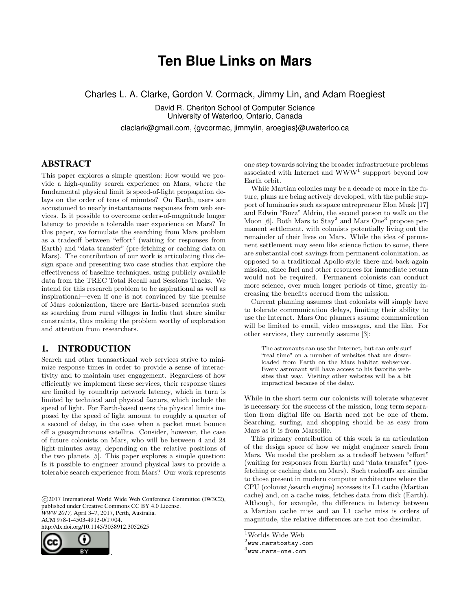# **Ten Blue Links on Mars**

Charles L. A. Clarke, Gordon V. Cormack, Jimmy Lin, and Adam Roegiest

David R. Cheriton School of Computer Science University of Waterloo, Ontario, Canada

claclark@gmail.com, {gvcormac, jimmylin, aroegies}@uwaterloo.ca

# ABSTRACT

This paper explores a simple question: How would we provide a high-quality search experience on Mars, where the fundamental physical limit is speed-of-light propagation delays on the order of tens of minutes? On Earth, users are accustomed to nearly instantaneous responses from web services. Is it possible to overcome orders-of-magnitude longer latency to provide a tolerable user experience on Mars? In this paper, we formulate the searching from Mars problem as a tradeoff between "effort" (waiting for responses from Earth) and "data transfer" (pre-fetching or caching data on Mars). The contribution of our work is articulating this design space and presenting two case studies that explore the effectiveness of baseline techniques, using publicly available data from the TREC Total Recall and Sessions Tracks. We intend for this research problem to be aspirational as well as inspirational—even if one is not convinced by the premise of Mars colonization, there are Earth-based scenarios such as searching from rural villages in India that share similar constraints, thus making the problem worthy of exploration and attention from researchers.

## 1. INTRODUCTION

Search and other transactional web services strive to minimize response times in order to provide a sense of interactivity and to maintain user engagement. Regardless of how efficiently we implement these services, their response times are limited by roundtrip network latency, which in turn is limited by technical and physical factors, which include the speed of light. For Earth-based users the physical limits imposed by the speed of light amount to roughly a quarter of a second of delay, in the case when a packet must bounce off a geosynchronous satellite. Consider, however, the case of future colonists on Mars, who will be between 4 and 24 light-minutes away, depending on the relative positions of the two planets [5]. This paper explores a simple question: Is it possible to engineer around physical laws to provide a tolerable search experience from Mars? Our work represents

 c 2017 International World Wide Web Conference Committee (IW3C2), published under Creative Commons CC BY 4.0 License. *WWW 2017,* April 3–7, 2017, Perth, Australia. ACM 978-1-4503-4913-0/17/04. http://dx.doi.org/10.1145/3038912.3052625



one step towards solving the broader infrastructure problems associated with Internet and WWW<sup>1</sup> suppport beyond low Earth orbit.

While Martian colonies may be a decade or more in the future, plans are being actively developed, with the public support of luminaries such as space entrepreneur Elon Musk [17] and Edwin "Buzz" Aldrin, the second person to walk on the Moon [6]. Both Mars to  $Stay<sup>2</sup>$  and Mars One<sup>3</sup> propose permanent settlement, with colonists potentially living out the remainder of their lives on Mars. While the idea of permanent settlement may seem like science fiction to some, there are substantial cost savings from permanent colonization, as opposed to a traditional Apollo-style there-and-back-again mission, since fuel and other resources for immediate return would not be required. Permanent colonists can conduct more science, over much longer periods of time, greatly increasing the benefits accrued from the mission.

Current planning assumes that colonists will simply have to tolerate communication delays, limiting their ability to use the Internet. Mars One planners assume communication will be limited to email, video messages, and the like. For other services, they currently assume [3]:

The astronauts can use the Internet, but can only surf "real time" on a number of websites that are downloaded from Earth on the Mars habitat webserver. Every astronaut will have access to his favorite websites that way. Visiting other websites will be a bit impractical because of the delay.

While in the short term our colonists will tolerate whatever is necessary for the success of the mission, long term separation from digital life on Earth need not be one of them. Searching, surfing, and shopping should be as easy from Mars as it is from Marseille.

This primary contribution of this work is an articulation of the design space of how we might engineer search from Mars. We model the problem as a tradeoff between "effort" (waiting for responses from Earth) and "data transfer" (prefetching or caching data on Mars). Such tradeoffs are similar to those present in modern computer architecture where the CPU (colonist/search engine) accesses its L1 cache (Martian cache) and, on a cache miss, fetches data from disk (Earth). Although, for example, the difference in latency between a Martian cache miss and an L1 cache miss is orders of magnitude, the relative differences are not too dissimilar.

 $\rm ^1Worlds$  Wide Web

 $^2$ www.marstostay.com

 $^3$ www.mars-one.com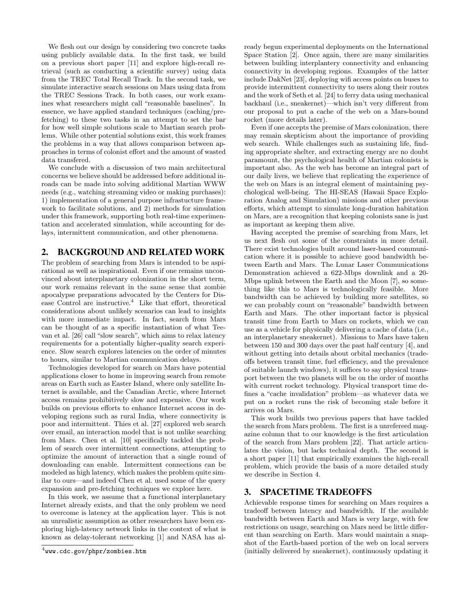We flesh out our design by considering two concrete tasks using publicly available data. In the first task, we build on a previous short paper [11] and explore high-recall retrieval (such as conducting a scientific survey) using data from the TREC Total Recall Track. In the second task, we simulate interactive search sessions on Mars using data from the TREC Sessions Track. In both cases, our work examines what researchers might call "reasonable baselines". In essence, we have applied standard techniques (caching/prefetching) to these two tasks in an attempt to set the bar for how well simple solutions scale to Martian search problems. While other potential solutions exist, this work frames the problems in a way that allows comparison between approaches in terms of colonist effort and the amount of wasted data transfered.

We conclude with a discussion of two main architectural concerns we believe should be addressed before additional inroads can be made into solving additional Martian WWW needs (e.g., watching streaming video or making purchases): 1) implementation of a general purpose infrastucture framework to facilitate solutions, and 2) methods for simulation under this framework, supporting both real-time experimentation and accelerated simulation, while accounting for delays, intermittent communication, and other phenomena.

## 2. BACKGROUND AND RELATED WORK

The problem of searching from Mars is intended to be aspirational as well as inspirational. Even if one remains unconvinced about interplanetary colonization in the short term, our work remains relevant in the same sense that zombie apocalypse preparations advocated by the Centers for Disease Control are instructive.<sup>4</sup> Like that effort, theoretical considerations about unlikely scenarios can lead to insights with more immediate impact. In fact, search from Mars can be thought of as a specific instantiation of what Teevan et al. [26] call "slow search", which aims to relax latency requirements for a potentially higher-quality search experience. Slow search explores latencies on the order of minutes to hours, similar to Martian communication delays.

Technologies developed for search on Mars have potential applications closer to home in improving search from remote areas on Earth such as Easter Island, where only satellite Internet is available, and the Canadian Arctic, where Internet access remains prohibitively slow and expensive. Our work builds on previous efforts to enhance Internet access in developing regions such as rural India, where connectivity is poor and intermittent. Thies et al. [27] explored web search over email, an interaction model that is not unlike searching from Mars. Chen et al. [10] specifically tackled the problem of search over intermittent connections, attempting to optimize the amount of interaction that a single round of downloading can enable. Intermittent connections can be modeled as high latency, which makes the problem quite similar to ours—and indeed Chen et al. used some of the query expansion and pre-fetching techniques we explore here.

In this work, we assume that a functional interplanetary Internet already exists, and that the only problem we need to overcome is latency at the application layer. This is not an unrealistic assumption as other researchers have been exploring high-latency network links in the context of what is known as delay-tolerant networking [1] and NASA has already begun experimental deployments on the International Space Station [2]. Once again, there are many similarities between building interplantery connectivity and enhancing connectivity in developing regions. Examples of the latter include DakNet [23], deploying wifi access points on buses to provide intermittent connectivity to users along their routes and the work of Seth et al. [24] to ferry data using mechanical backhaul (i.e., sneakernet)—which isn't very different from our proposal to put a cache of the web on a Mars-bound rocket (more details later).

Even if one accepts the premise of Mars colonization, there may remain skepticism about the importance of providing web search. While challenges such as sustaining life, finding appropriate shelter, and extracting energy are no doubt paramount, the psychological health of Martian colonists is important also. As the web has become an integral part of our daily lives, we believe that replicating the experience of the web on Mars is an integral element of maintaining psychological well-being. The HI-SEAS (Hawaii Space Exploration Analog and Simulation) missions and other previous efforts, which attempt to simulate long-duration habitation on Mars, are a recognition that keeping colonists sane is just as important as keeping them alive.

Having accepted the premise of searching from Mars, let us next flesh out some of the constraints in more detail. There exist technologies built around laser-based communication where it is possible to achieve good bandwidth between Earth and Mars. The Lunar Laser Communications Demonstration achieved a 622-Mbps downlink and a 20- Mbps uplink between the Earth and the Moon [7], so something like this to Mars is technologically feasible. More bandwidth can be achieved by building more satellites, so we can probably count on "reasonable" bandwidth between Earth and Mars. The other important factor is physical transit time from Earth to Mars on rockets, which we can use as a vehicle for physically delivering a cache of data (i.e., an interplanetary sneakernet). Missions to Mars have taken between 150 and 300 days over the past half century [4], and without getting into details about orbital mechanics (tradeoffs between transit time, fuel efficiency, and the prevalence of suitable launch windows), it suffices to say physical transport between the two planets will be on the order of months with current rocket technology. Physical transport time defines a "cache invalidation" problem—as whatever data we put on a rocket runs the risk of becoming stale before it arrives on Mars.

This work builds two previous papers that have tackled the search from Mars problem. The first is a unrefereed magazine column that to our knowledge is the first articulation of the search from Mars problem [22]. That article articulates the vision, but lacks technical depth. The second is a short paper [11] that empirically examines the high-recall problem, which provide the basis of a more detailed study we describe in Section 4.

#### 3. SPACETIME TRADEOFFS

Achievable response times for searching on Mars requires a tradeoff between latency and bandwidth. If the available bandwidth between Earth and Mars is very large, with few restrictions on usage, searching on Mars need be little different than searching on Earth. Mars would maintain a snapshot of the Earth-based portion of the web on local servers (initially delivered by sneakernet), continuously updating it

 $^4$ www.cdc.gov/phpr/zombies.htm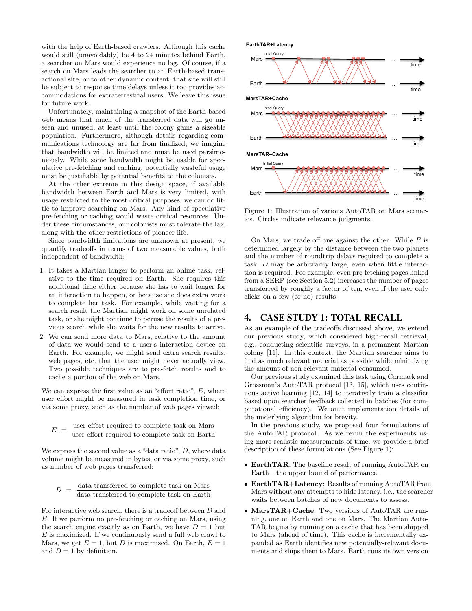with the help of Earth-based crawlers. Although this cache would still (unavoidably) be 4 to 24 minutes behind Earth, a searcher on Mars would experience no lag. Of course, if a search on Mars leads the searcher to an Earth-based transactional site, or to other dynamic content, that site will still be subject to response time delays unless it too provides accommodations for extraterrestrial users. We leave this issue for future work.

Unfortunately, maintaining a snapshot of the Earth-based web means that much of the transferred data will go unseen and unused, at least until the colony gains a sizeable population. Furthermore, although details regarding communications technology are far from finalized, we imagine that bandwidth will be limited and must be used parsimoniously. While some bandwidth might be usable for speculative pre-fetching and caching, potentially wasteful usage must be justifiable by potential benefits to the colonists.

At the other extreme in this design space, if available bandwidth between Earth and Mars is very limited, with usage restricted to the most critical purposes, we can do little to improve searching on Mars. Any kind of speculative pre-fetching or caching would waste critical resources. Under these circumstances, our colonists must tolerate the lag, along with the other restrictions of pioneer life.

Since bandwidth limitations are unknown at present, we quantify tradeoffs in terms of two measurable values, both independent of bandwidth:

- 1. It takes a Martian longer to perform an online task, relative to the time required on Earth. She requires this additional time either because she has to wait longer for an interaction to happen, or because she does extra work to complete her task. For example, while waiting for a search result the Martian might work on some unrelated task, or she might continue to peruse the results of a previous search while she waits for the new results to arrive.
- 2. We can send more data to Mars, relative to the amount of data we would send to a user's interaction device on Earth. For example, we might send extra search results, web pages, etc. that the user might never actually view. Two possible techniques are to pre-fetch results and to cache a portion of the web on Mars.

We can express the first value as an "effort ratio",  $E$ , where user effort might be measured in task completion time, or via some proxy, such as the number of web pages viewed:

$$
E =
$$
   
 user effort required to complete task on Mars  
 user effort required to complete task on Earth

We express the second value as a "data ratio",  $D$ , where data volume might be measured in bytes, or via some proxy, such as number of web pages transferred:

$$
D = \frac{\text{data transferred to complete task on Mars}}{\text{data transferred to complete task on Earth}}
$$

For interactive web search, there is a tradeoff between D and E. If we perform no pre-fetching or caching on Mars, using the search engine exactly as on Earth, we have  $D = 1$  but  $E$  is maximized. If we continuously send a full web crawl to Mars, we get  $E = 1$ , but D is maximized. On Earth,  $E = 1$ and  $D = 1$  by definition.



Figure 1: Illustration of various AutoTAR on Mars scenarios. Circles indicate relevance judgments.

On Mars, we trade off one against the other. While  $E$  is determined largely by the distance between the two planets and the number of roundtrip delays required to complete a task, D may be arbitrarily large, even when little interaction is required. For example, even pre-fetching pages linked from a SERP (see Section 5.2) increases the number of pages transferred by roughly a factor of ten, even if the user only clicks on a few (or no) results.

# 4. CASE STUDY 1: TOTAL RECALL

As an example of the tradeoffs discussed above, we extend our previous study, which considered high-recall retrieval, e.g., conducting scientific surveys, in a permanent Martian colony [11]. In this context, the Martian searcher aims to find as much relevant material as possible while minimizing the amount of non-relevant material consumed.

Our previous study examined this task using Cormack and Grossman's AutoTAR protocol [13, 15], which uses continuous active learning [12, 14] to iteratively train a classifier based upon searcher feedback collected in batches (for computational efficiency). We omit implementation details of the underlying algorithm for brevity.

In the previous study, we proposed four formulations of the AutoTAR protocol. As we rerun the experiments using more realistic measurements of time, we provide a brief description of these formulations (See Figure 1):

- EarthTAR: The baseline result of running AutoTAR on Earth—the upper bound of performance.
- EarthTAR+Latency: Results of running AutoTAR from Mars without any attempts to hide latency, i.e., the searcher waits between batches of new documents to assess.
- MarsTAR+Cache: Two versions of AutoTAR are running, one on Earth and one on Mars. The Martian Auto-TAR begins by running on a cache that has been shipped to Mars (ahead of time). This cache is incrementally expanded as Earth identifies new potentially-relevant documents and ships them to Mars. Earth runs its own version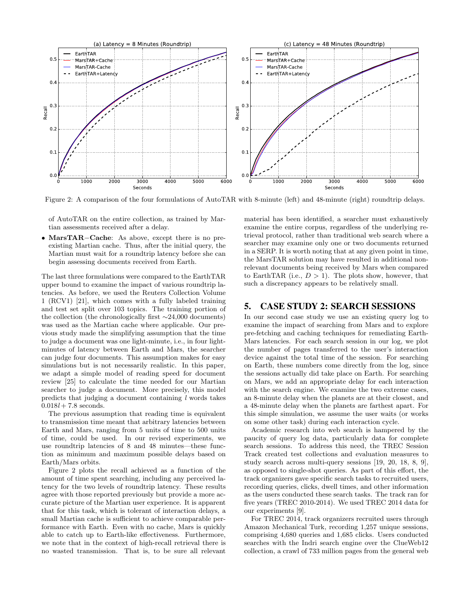

Figure 2: A comparison of the four formulations of AutoTAR with 8-minute (left) and 48-minute (right) roundtrip delays.

of AutoTAR on the entire collection, as trained by Martian assessments received after a delay.

• MarsTAR−Cache: As above, except there is no preexisting Martian cache. Thus, after the initial query, the Martian must wait for a roundtrip latency before she can begin assessing documents received from Earth.

The last three formulations were compared to the EarthTAR upper bound to examine the impact of various roundtrip latencies. As before, we used the Reuters Collection Volume 1 (RCV1) [21], which comes with a fully labeled training and test set split over 103 topics. The training portion of the collection (the chronologically first ∼24,000 documents) was used as the Martian cache where applicable. Our previous study made the simplifying assumption that the time to judge a document was one light-minute, i.e., in four lightminutes of latency between Earth and Mars, the searcher can judge four documents. This assumption makes for easy simulations but is not necessarily realistic. In this paper, we adapt a simple model of reading speed for document review [25] to calculate the time needed for our Martian searcher to judge a document. More precisely, this model predicts that judging a document containing l words takes  $0.018l + 7.8$  seconds.

The previous assumption that reading time is equivalent to transmission time meant that arbitrary latencies between Earth and Mars, ranging from 5 units of time to 500 units of time, could be used. In our revised experiments, we use roundtrip latencies of 8 and 48 minutes—these function as minimum and maximum possible delays based on Earth/Mars orbits.

Figure 2 plots the recall achieved as a function of the amount of time spent searching, including any perceived latency for the two levels of roundtrip latency. These results agree with those reported previously but provide a more accurate picture of the Martian user experience. It is apparent that for this task, which is tolerant of interaction delays, a small Martian cache is sufficient to achieve comparable performance with Earth. Even with no cache, Mars is quickly able to catch up to Earth-like effectiveness. Furthermore, we note that in the context of high-recall retrieval there is no wasted transmission. That is, to be sure all relevant material has been identified, a searcher must exhaustively examine the entire corpus, regardless of the underlying retrieval protocol, rather than traditional web search where a searcher may examine only one or two documents returned in a SERP. It is worth noting that at any given point in time, the MarsTAR solution may have resulted in additional nonrelevant documents being received by Mars when compared to EarthTAR (i.e.,  $D > 1$ ). The plots show, however, that such a discrepancy appears to be relatively small.

## 5. CASE STUDY 2: SEARCH SESSIONS

In our second case study we use an existing query log to examine the impact of searching from Mars and to explore pre-fetching and caching techniques for remediating Earth-Mars latencies. For each search session in our log, we plot the number of pages transferred to the user's interaction device against the total time of the session. For searching on Earth, these numbers come directly from the log, since the sessions actually did take place on Earth. For searching on Mars, we add an appropriate delay for each interaction with the search engine. We examine the two extreme cases, an 8-minute delay when the planets are at their closest, and a 48-minute delay when the planets are farthest apart. For this simple simulation, we assume the user waits (or works on some other task) during each interaction cycle.

Academic research into web search is hampered by the paucity of query log data, particularly data for complete search sessions. To address this need, the TREC Session Track created test collections and evaluation measures to study search across multi-query sessions [19, 20, 18, 8, 9], as opposed to single-shot queries. As part of this effort, the track organizers gave specific search tasks to recruited users, recording queries, clicks, dwell times, and other information as the users conducted these search tasks. The track ran for five years (TREC 2010-2014). We used TREC 2014 data for our experiments [9].

For TREC 2014, track organizers recruited users through Amazon Mechanical Turk, recording 1,257 unique sessions, comprising 4,680 queries and 1,685 clicks. Users conducted searches with the Indri search engine over the ClueWeb12 collection, a crawl of 733 million pages from the general web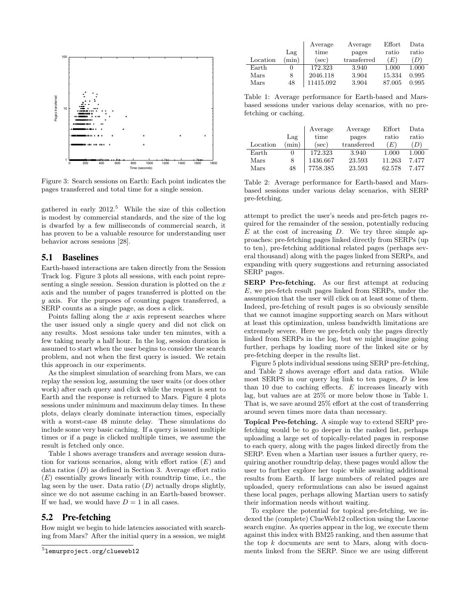

Figure 3: Search sessions on Earth: Each point indicates the pages transferred and total time for a single session.

gathered in early  $2012<sup>5</sup>$  While the size of this collection is modest by commercial standards, and the size of the log is dwarfed by a few milliseconds of commercial search, it has proven to be a valuable resource for understanding user behavior across sessions [28].

#### 5.1 Baselines

Earth-based interactions are taken directly from the Session Track log. Figure 3 plots all sessions, with each point representing a single session. Session duration is plotted on the  $x$ axis and the number of pages transferred is plotted on the y axis. For the purposes of counting pages transferred, a SERP counts as a single page, as does a click.

Points falling along the  $x$  axis represent searches where the user issued only a single query and did not click on any results. Most sessions take under ten minutes, with a few taking nearly a half hour. In the log, session duration is assumed to start when the user begins to consider the search problem, and not when the first query is issued. We retain this approach in our experiments.

As the simplest simulation of searching from Mars, we can replay the session log, assuming the user waits (or does other work) after each query and click while the request is sent to Earth and the response is returned to Mars. Figure 4 plots sessions under minimum and maximum delay times. In these plots, delays clearly dominate interaction times, especially with a worst-case 48 minute delay. These simulations do include some very basic caching. If a query is issued multiple times or if a page is clicked multiple times, we assume the result is fetched only once.

Table 1 shows average transfers and average session duration for various scenarios, along with effort ratios  $(E)$  and data ratios  $(D)$  as defined in Section 3. Average effort ratio (E) essentially grows linearly with roundtrip time, i.e., the lag seen by the user. Data ratio  $(D)$  actually drops slightly, since we do not assume caching in an Earth-based browser. If we had, we would have  $D = 1$  in all cases.

## 5.2 Pre-fetching

How might we begin to hide latencies associated with searching from Mars? After the initial query in a session, we might

|            |                 | Average   | Average     | Effort | Data  |
|------------|-----------------|-----------|-------------|--------|-------|
|            | $_{\text{Lag}}$ | time      | pages       | ratio  | ratio |
| Location   | $\text{min}$    | $(\sec)$  | transferred | E      | D     |
| Earth      | $^{(1)}$        | 172.323   | 3.940       | 1.000  | 1.000 |
| Mars       | 8               | 2046.118  | 3.904       | 15.334 | 0.995 |
| $\rm Mars$ | 48              | 11415.092 | 3.904       | 87.005 | 0.995 |

Table 1: Average performance for Earth-based and Marsbased sessions under various delay scenarios, with no prefetching or caching.

|             | Lag  | Average<br>time | Average<br>pages | Effort<br>ratio | Data<br>ratio |
|-------------|------|-----------------|------------------|-----------------|---------------|
| Location    | min) | (sec)           | transferred      | E               | D             |
| $\rm Earth$ |      | 172.323         | 3.940            | 1.000           | 1.000         |
| Mars        | 8    | 1436.667        | 23.593           | 11.263          | 7.477         |
| Mars        | 48   | 7758.385        | 23.593           | 62.578          | 7.477         |

Table 2: Average performance for Earth-based and Marsbased sessions under various delay scenarios, with SERP pre-fetching.

attempt to predict the user's needs and pre-fetch pages required for the remainder of the session, potentially reducing  $E$  at the cost of increasing  $D$ . We try three simple approaches: pre-fetching pages linked directly from SERPs (up to ten), pre-fetching additional related pages (perhaps several thousand) along with the pages linked from SERPs, and expanding with query suggestions and returning associated SERP pages.

SERP Pre-fetching. As our first attempt at reducing E, we pre-fetch result pages linked from SERPs, under the assumption that the user will click on at least some of them. Indeed, pre-fetching of result pages is so obviously sensible that we cannot imagine supporting search on Mars without at least this optimization, unless bandwidth limitations are extremely severe. Here we pre-fetch only the pages directly linked from SERPs in the log, but we might imagine going further, perhaps by loading more of the linked site or by pre-fetching deeper in the results list.

Figure 5 plots individual sessions using SERP pre-fetching, and Table 2 shows average effort and data ratios. While most SERPS in our query log link to ten pages, D is less than  $10$  due to caching effects.  $E$  increases linearly with lag, but values are at 25% or more below those in Table 1. That is, we save around 25% effort at the cost of transferring around seven times more data than necessary.

Topical Pre-fetching. A simple way to extend SERP prefetching would be to go deeper in the ranked list, perhaps uploading a large set of topically-related pages in response to each query, along with the pages linked directly from the SERP. Even when a Martian user issues a further query, requiring another roundtrip delay, these pages would allow the user to further explore her topic while awaiting additional results from Earth. If large numbers of related pages are uploaded, query reformulations can also be issued against these local pages, perhaps allowing Martian users to satisfy their information needs without waiting.

To explore the potential for topical pre-fetching, we indexed the (complete) ClueWeb12 collection using the Lucene search engine. As queries appear in the log, we execute them against this index with BM25 ranking, and then assume that the top  $k$  documents are sent to Mars, along with documents linked from the SERP. Since we are using different

<sup>5</sup> lemurproject.org/clueweb12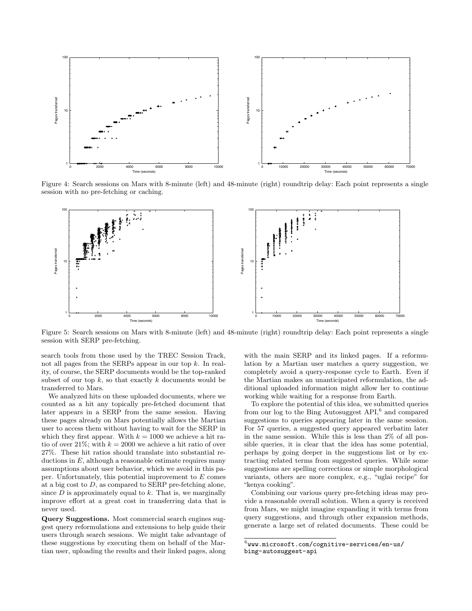

Figure 4: Search sessions on Mars with 8-minute (left) and 48-minute (right) roundtrip delay: Each point represents a single session with no pre-fetching or caching.



Figure 5: Search sessions on Mars with 8-minute (left) and 48-minute (right) roundtrip delay: Each point represents a single session with SERP pre-fetching.

search tools from those used by the TREC Session Track, not all pages from the SERPs appear in our top k. In reality, of course, the SERP documents would be the top-ranked subset of our top  $k$ , so that exactly  $k$  documents would be transferred to Mars.

We analyzed hits on these uploaded documents, where we counted as a hit any topically pre-fetched document that later appears in a SERP from the same session. Having these pages already on Mars potentially allows the Martian user to access them without having to wait for the SERP in which they first appear. With  $k = 1000$  we achieve a hit ratio of over 21%; with  $k = 2000$  we achieve a hit ratio of over 27%. These hit ratios should translate into substantial reductions in  $E$ , although a reasonable estimate requires many assumptions about user behavior, which we avoid in this paper. Unfortunately, this potential improvement to  $E$  comes at a big cost to  $D$ , as compared to SERP pre-fetching alone, since  $D$  is approximately equal to  $k$ . That is, we marginally improve effort at a great cost in transferring data that is never used.

Query Suggestions. Most commercial search engines suggest query reformulations and extensions to help guide their users through search sessions. We might take advantage of these suggestions by executing them on behalf of the Martian user, uploading the results and their linked pages, along with the main SERP and its linked pages. If a reformulation by a Martian user matches a query suggestion, we completely avoid a query-response cycle to Earth. Even if the Martian makes an unanticipated reformulation, the additional uploaded information might allow her to continue working while waiting for a response from Earth.

To explore the potential of this idea, we submitted queries from our log to the Bing Autosuggest API,<sup>6</sup> and compared suggestions to queries appearing later in the same session. For 57 queries, a suggested query appeared verbatim later in the same session. While this is less than 2% of all possible queries, it is clear that the idea has some potential, perhaps by going deeper in the suggestions list or by extracting related terms from suggested queries. While some suggestions are spelling corrections or simple morphological variants, others are more complex, e.g., "uglai recipe" for "kenya cooking".

Combining our various query pre-fetching ideas may provide a reasonable overall solution. When a query is received from Mars, we might imagine expanding it with terms from query suggestions, and through other expansion methods, generate a large set of related documents. These could be

 $^6$ www.microsoft.com/cognitive-services/en-us/ bing-autosuggest-api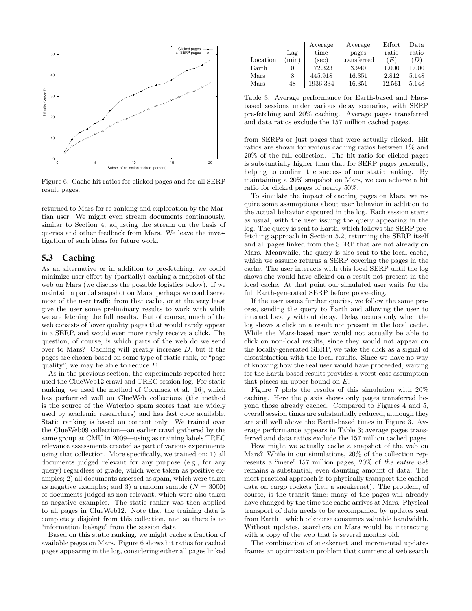

Figure 6: Cache hit ratios for clicked pages and for all SERP result pages.

returned to Mars for re-ranking and exploration by the Martian user. We might even stream documents continuously, similar to Section 4, adjusting the stream on the basis of queries and other feedback from Mars. We leave the investigation of such ideas for future work.

#### 5.3 Caching

As an alternative or in addition to pre-fetching, we could minimize user effort by (partially) caching a snapshot of the web on Mars (we discuss the possible logistics below). If we maintain a partial snapshot on Mars, perhaps we could serve most of the user traffic from that cache, or at the very least give the user some preliminary results to work with while we are fetching the full results. But of course, much of the web consists of lower quality pages that would rarely appear in a SERP, and would even more rarely receive a click. The question, of course, is which parts of the web do we send over to Mars? Caching will greatly increase D, but if the pages are chosen based on some type of static rank, or "page quality", we may be able to reduce  $E$ .

As in the previous section, the experiments reported here used the ClueWeb12 crawl and TREC session log. For static ranking, we used the method of Cormack et al. [16], which has performed well on ClueWeb collections (the method is the source of the Waterloo spam scores that are widely used by academic researchers) and has fast code available. Static ranking is based on content only. We trained over the ClueWeb09 collection—an earlier crawl gathered by the same group at CMU in 2009—using as training labels TREC relevance assessments created as part of various experiments using that collection. More specifically, we trained on: 1) all documents judged relevant for any purpose (e.g., for any query) regardless of grade, which were taken as positive examples; 2) all documents assessed as spam, which were taken as negative examples; and 3) a random sample  $(N = 3000)$ of documents judged as non-relevant, which were also taken as negative examples. The static ranker was then applied to all pages in ClueWeb12. Note that the training data is completely disjoint from this collection, and so there is no "information leakage" from the session data.

Based on this static ranking, we might cache a fraction of available pages on Mars. Figure 6 shows hit ratios for cached pages appearing in the log, considering either all pages linked

|          |      | Average  | Average     | Effort | Data  |
|----------|------|----------|-------------|--------|-------|
|          | Lag  | time     | pages       | ratio  | ratio |
| Location | min) | (sec)    | transferred | (E)    | 'D`   |
| Earth    |      | 172.323  | 3.940       | 1.000  | 1.000 |
| Mars     | 8    | 445.918  | 16.351      | 2.812  | 5.148 |
| Mars     | 48   | 1936.334 | 16.351      | 12.561 | 5.148 |

Table 3: Average performance for Earth-based and Marsbased sessions under various delay scenarios, with SERP pre-fetching and 20% caching. Average pages transferred and data ratios exclude the 157 million cached pages.

from SERPs or just pages that were actually clicked. Hit ratios are shown for various caching ratios between 1% and 20% of the full collection. The hit ratio for clicked pages is substantially higher than that for SERP pages generally, helping to confirm the success of our static ranking. By maintaining a 20% snapshot on Mars, we can achieve a hit ratio for clicked pages of nearly 50%.

To simulate the impact of caching pages on Mars, we require some assumptions about user behavior in addition to the actual behavior captured in the log. Each session starts as usual, with the user issuing the query appearing in the log. The query is sent to Earth, which follows the SERP prefetching approach in Section 5.2, returning the SERP itself and all pages linked from the SERP that are not already on Mars. Meanwhile, the query is also sent to the local cache, which we assume returns a SERP covering the pages in the cache. The user interacts with this local SERP until the log shows she would have clicked on a result not present in the local cache. At that point our simulated user waits for the full Earth-generated SERP before proceeding.

If the user issues further queries, we follow the same process, sending the query to Earth and allowing the user to interact locally without delay. Delay occurs only when the log shows a click on a result not present in the local cache. While the Mars-based user would not actually be able to click on non-local results, since they would not appear on the locally-generated SERP, we take the click as a signal of dissatisfaction with the local results. Since we have no way of knowing how the real user would have proceeded, waiting for the Earth-based results provides a worst-case assumption that places an upper bound on E.

Figure 7 plots the results of this simulation with 20% caching. Here the  $y$  axis shows only pages transferred beyond those already cached. Compared to Figures 4 and 5, overall session times are substantially reduced, although they are still well above the Earth-based times in Figure 3. Average performance appears in Table 3; average pages transferred and data ratios exclude the 157 million cached pages.

How might we actually cache a snapshot of the web on Mars? While in our simulations, 20% of the collection represents a "mere" 157 million pages, 20% of the entire web remains a substantial, even daunting amount of data. The most practical approach is to physically transport the cached data on cargo rockets (i.e., a sneakernet). The problem, of course, is the transit time: many of the pages will already have changed by the time the cache arrives at Mars. Physical transport of data needs to be accompanied by updates sent from Earth—which of course consumes valuable bandwidth. Without updates, searchers on Mars would be interacting with a copy of the web that is several months old.

The combination of sneakernet and incremental updates frames an optimization problem that commercial web search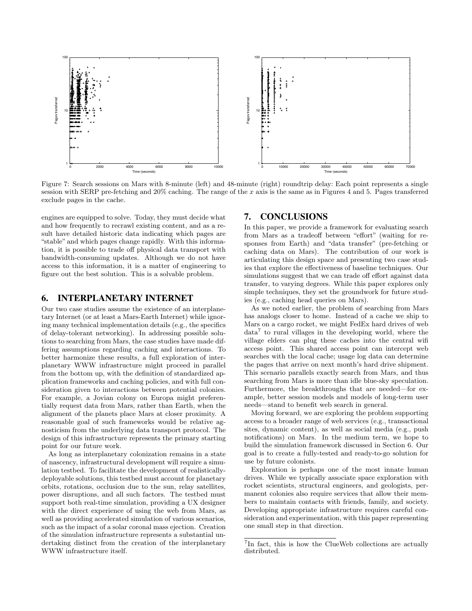

Figure 7: Search sessions on Mars with 8-minute (left) and 48-minute (right) roundtrip delay: Each point represents a single session with SERP pre-fetching and  $20\%$  caching. The range of the x axis is the same as in Figures 4 and 5. Pages transferred exclude pages in the cache.

engines are equipped to solve. Today, they must decide what and how frequently to recrawl existing content, and as a result have detailed historic data indicating which pages are "stable" and which pages change rapidly. With this information, it is possible to trade off physical data transport with bandwidth-consuming updates. Although we do not have access to this information, it is a matter of engineering to figure out the best solution. This is a solvable problem.

#### 6. INTERPLANETARY INTERNET

Our two case studies assume the existence of an interplanetary Internet (or at least a Mars-Earth Internet) while ignoring many technical implementation details (e.g., the specifics of delay-tolerant networking). In addressing possible solutions to searching from Mars, the case studies have made differing assumptions regarding caching and interactions. To better harmonize these results, a full exploration of interplanetary WWW infrastructure might proceed in parallel from the bottom up, with the definition of standardized application frameworks and caching policies, and with full consideration given to interactions between potential colonies. For example, a Jovian colony on Europa might preferentially request data from Mars, rather than Earth, when the alignment of the planets place Mars at closer proximity. A reasonable goal of such frameworks would be relative agnosticism from the underlying data transport protocol. The design of this infrastructure represents the primary starting point for our future work.

As long as interplanetary colonization remains in a state of nascency, infrastructural development will require a simulation testbed. To facilitate the development of realisticallydeployable solutions, this testbed must account for planetary orbits, rotations, occlusion due to the sun, relay satellites, power disruptions, and all such factors. The testbed must support both real-time simulation, providing a UX designer with the direct experience of using the web from Mars, as well as providing accelerated simulation of various scenarios, such as the impact of a solar coronal mass ejection. Creation of the simulation infrastructure represents a substantial undertaking distinct from the creation of the interplanetary WWW infrastructure itself.

## 7. CONCLUSIONS

In this paper, we provide a framework for evaluating search from Mars as a tradeoff between "effort" (waiting for responses from Earth) and "data transfer" (pre-fetching or caching data on Mars). The contribution of our work is articulating this design space and presenting two case studies that explore the effectiveness of baseline techniques. Our simulations suggest that we can trade off effort against data transfer, to varying degrees. While this paper explores only simple techniques, they set the groundwork for future studies (e.g., caching head queries on Mars).

As we noted earlier, the problem of searching from Mars has analogs closer to home. Instead of a cache we ship to Mars on a cargo rocket, we might FedEx hard drives of web data<sup>7</sup> to rural villages in the developing world, where the village elders can plug these caches into the central wifi access point. This shared access point can intercept web searches with the local cache; usage log data can determine the pages that arrive on next month's hard drive shipment. This scenario parallels exactly search from Mars, and thus searching from Mars is more than idle blue-sky speculation. Furthermore, the breakthroughs that are needed—for example, better session models and models of long-term user needs—stand to benefit web search in general.

Moving forward, we are exploring the problem supporting access to a broader range of web services (e.g., transactional sites, dynamic content), as well as social media (e.g., push notifications) on Mars. In the medium term, we hope to build the simulation framework discussed in Section 6. Our goal is to create a fully-tested and ready-to-go solution for use by future colonists.

Exploration is perhaps one of the most innate human drives. While we typically associate space exploration with rocket scientists, structural engineers, and geologists, permanent colonies also require services that allow their members to maintain contacts with friends, family, and society. Developing appropriate infrastructure requires careful consideration and experimentation, with this paper representing one small step in that direction.

<sup>&</sup>lt;sup>7</sup>In fact, this is how the ClueWeb collections are actually distributed.